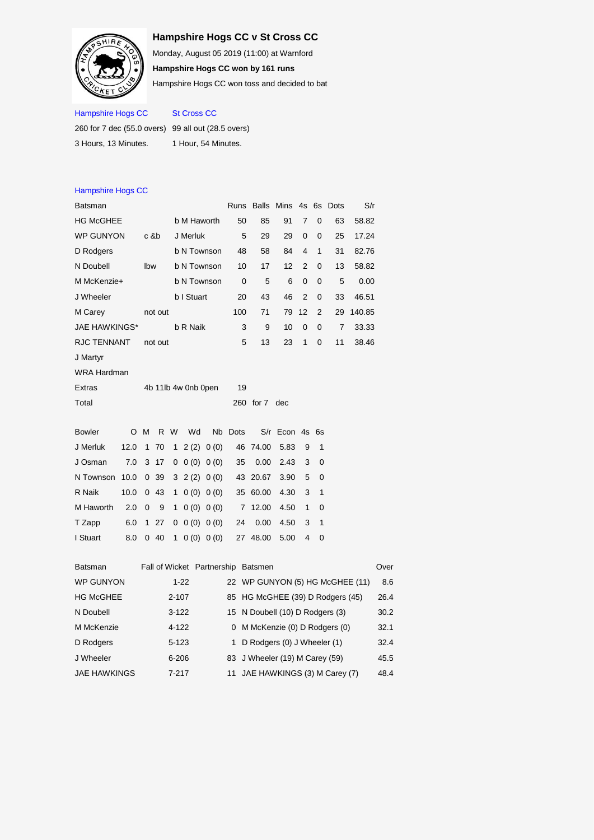## **Hampshire Hogs CC v St Cross CC**



Monday, August 05 2019 (11:00) at Warnford **Hampshire Hogs CC won by 161 runs**

Hampshire Hogs CC won toss and decided to bat

## Hampshire Hogs CC St Cross CC

| 260 for 7 dec (55.0 overs) 99 all out (28.5 overs) |                     |
|----------------------------------------------------|---------------------|
| 3 Hours. 13 Minutes.                               | 1 Hour, 54 Minutes, |

| <b>Hampshire Hogs CC</b>  |      |              |         |             |                                  |           |      |                                    |             |    |          |                |        |      |
|---------------------------|------|--------------|---------|-------------|----------------------------------|-----------|------|------------------------------------|-------------|----|----------|----------------|--------|------|
| Batsman                   |      |              |         |             |                                  |           | Runs | <b>Balls</b> Mins                  |             |    |          | 4s 6s Dots     | S/r    |      |
| <b>HG McGHEE</b>          |      |              |         |             | b M Haworth                      |           | 50   | 85                                 | 91          | 7  | 0        | 63             | 58.82  |      |
| <b>WP GUNYON</b><br>c &b  |      |              |         |             | J Merluk                         |           | 5    | 29                                 | 29          | 0  | 0        | 25             | 17.24  |      |
| D Rodgers<br>b N Townson  |      |              |         |             |                                  | 48        | 58   | 84                                 | 4           | 1  | 31       | 82.76          |        |      |
| N Doubell<br>Ibw          |      |              |         | b N Townson |                                  | 10        | 17   | 12                                 | 2           | 0  | 13       | 58.82          |        |      |
| M McKenzie+               |      |              |         |             | b N Townson                      |           | 0    | 5                                  | 6           | 0  | 0        | 5              | 0.00   |      |
| J Wheeler                 |      |              |         |             | b I Stuart                       |           | 20   | 43                                 | 46          | 2  | 0        | 33             | 46.51  |      |
| M Carey                   |      |              | not out |             |                                  |           | 100  | 71                                 | 79          | 12 | 2        | 29             | 140.85 |      |
| <b>JAE HAWKINGS*</b>      |      |              |         |             | b R Naik                         |           | 3    | 9                                  | 10          | 0  | $\Omega$ | $\overline{7}$ | 33.33  |      |
| RJC TENNANT               |      |              | not out |             |                                  |           | 5    | 13                                 | 23          | 1  | 0        | 11             | 38.46  |      |
| J Martyr                  |      |              |         |             |                                  |           |      |                                    |             |    |          |                |        |      |
| WRA Hardman               |      |              |         |             |                                  |           |      |                                    |             |    |          |                |        |      |
| Extras                    |      |              |         |             | 4b 11lb 4w 0nb 0pen              |           | 19   |                                    |             |    |          |                |        |      |
| Total                     |      |              |         |             |                                  |           |      | 260 for 7                          | dec         |    |          |                |        |      |
| <b>Bowler</b>             | O    | M            | R.      | W           | Wd                               | Nb        | Dots |                                    | S/r Econ 4s |    | 6s       |                |        |      |
| J Merluk                  | 12.0 | 1            | 70      | 1           | 2(2)                             | 0(0)      | 46   | 74.00                              | 5.83        | 9  | 1        |                |        |      |
| J Osman                   | 7.0  | 3            | 17      | 0           |                                  | 0(0) 0(0) | 35   | 0.00                               | 2.43        | 3  | 0        |                |        |      |
| N Townson                 | 10.0 | $\mathbf{0}$ | 39      | 3           | 2(2)                             | 0(0)      | 43   | 20.67                              | 3.90        | 5  | 0        |                |        |      |
| R Naik                    | 10.0 |              | 0 43    | 1           |                                  | 0(0) 0(0) | 35   | 60.00                              | 4.30        | 3  | 1        |                |        |      |
| M Haworth                 | 2.0  | 0            | 9       | 1           |                                  | 0(0) 0(0) | 7    | 12.00                              | 4.50        | 1  | 0        |                |        |      |
| T Zapp                    | 6.0  | 1            | 27      | 0           | 0(0)                             | 0(0)      | 24   | 0.00                               | 4.50        | 3  | 1        |                |        |      |
| I Stuart                  | 8.0  |              | 040     | 1           |                                  | 0(0) 0(0) |      | 27 48.00                           | 5.00        | 4  | 0        |                |        |      |
| Batsman                   |      |              |         |             |                                  |           |      | Fall of Wicket Partnership Batsmen |             |    |          |                |        | Over |
| <b>WP GUNYON</b>          |      |              |         |             | $1 - 22$                         |           |      | 22 WP GUNYON (5) HG McGHEE (11)    |             |    |          |                |        | 8.6  |
| <b>HG McGHEE</b><br>2-107 |      |              |         |             | 85 HG McGHEE (39) D Rodgers (45) |           |      |                                    |             |    | 26.4     |                |        |      |
|                           |      |              |         |             |                                  |           |      |                                    |             |    |          |                |        |      |

| .            |           | $\frac{1}{2}$ $\frac{1}{2}$ $\frac{1}{2}$ $\frac{1}{2}$ $\frac{1}{2}$ $\frac{1}{2}$ $\frac{1}{2}$ $\frac{1}{2}$ $\frac{1}{2}$ $\frac{1}{2}$ $\frac{1}{2}$ $\frac{1}{2}$ | ---  |
|--------------|-----------|-------------------------------------------------------------------------------------------------------------------------------------------------------------------------|------|
| N Doubell    | $3 - 122$ | 15 N Doubell (10) D Rodgers (3)                                                                                                                                         | 30.2 |
| M McKenzie   | $4 - 122$ | 0 M McKenzie (0) D Rodgers (0)                                                                                                                                          | 32.1 |
| D Rodgers    | $5 - 123$ | 1 D Rodgers (0) J Wheeler (1)                                                                                                                                           | 32.4 |
| J Wheeler    | $6 - 206$ | 83 J Wheeler (19) M Carey (59)                                                                                                                                          | 45.5 |
| JAE HAWKINGS | $7 - 217$ | 11 JAE HAWKINGS (3) M Carey (7)                                                                                                                                         | 48.4 |